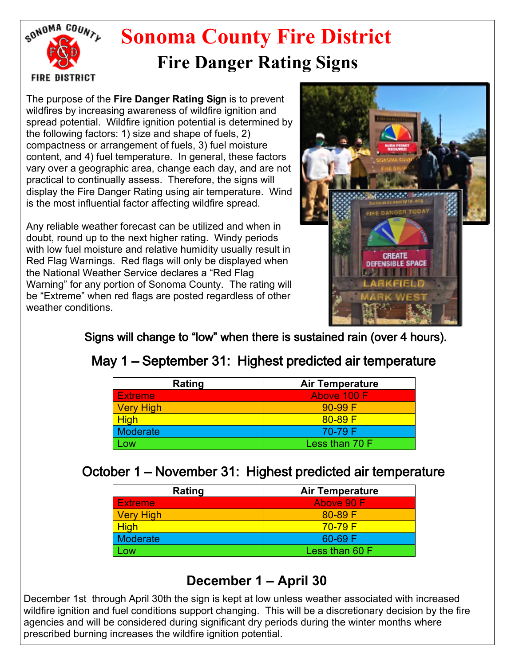

## **Sonoma County Fire District Fire Danger Rating Signs**

The purpose of the **Fire Danger Rating S**ign is to prevent wildfires by increasing awareness of wildfire ignition and spread potential. Wildfire ignition potential is determined by the following factors: 1) size and shape of fuels, 2) compactness or arrangement of fuels, 3) fuel moisture content, and 4) fuel temperature. In general, these factors vary over a geographic area, change each day, and are not practical to continually assess. Therefore, the signs will display the Fire Danger Rating using air temperature. Wind is the most influential factor affecting wildfire spread.

Any reliable weather forecast can be utilized and when in doubt, round up to the next higher rating. Windy periods with low fuel moisture and relative humidity usually result in Red Flag Warnings. Red flags will only be displayed when the National Weather Service declares a "Red Flag Warning" for any portion of Sonoma County. The rating will be "Extreme" when red flags are posted regardless of other weather conditions.



Signs will change to "low" when there is sustained rain (over 4 hours).

## May 1 – September 31: Highest predicted air temperature

| Rating           | <b>Air Temperature</b> |
|------------------|------------------------|
| <b>Extreme</b>   | Above 100 F            |
| <b>Very High</b> | $90-99 F$              |
| <b>High</b>      | $80 - 89$ F            |
| <b>Moderate</b>  | 70-79 F                |
| <b>LOW</b>       | Less than 70 F         |

## October 1 – November 31: Highest predicted air temperature

| Rating           | <b>Air Temperature</b> |
|------------------|------------------------|
| <b>Extreme</b>   | Above 90 F             |
| <b>Very High</b> | $80 - 89$ F            |
| <b>High</b>      | $70 - 79$ F            |
| <b>Moderate</b>  | 60-69 F                |
| $_{\text{OW}}$   | Less than 60 F         |

## **December 1 – April 30**

December 1st through April 30th the sign is kept at low unless weather associated with increased wildfire ignition and fuel conditions support changing. This will be a discretionary decision by the fire agencies and will be considered during significant dry periods during the winter months where prescribed burning increases the wildfire ignition potential.